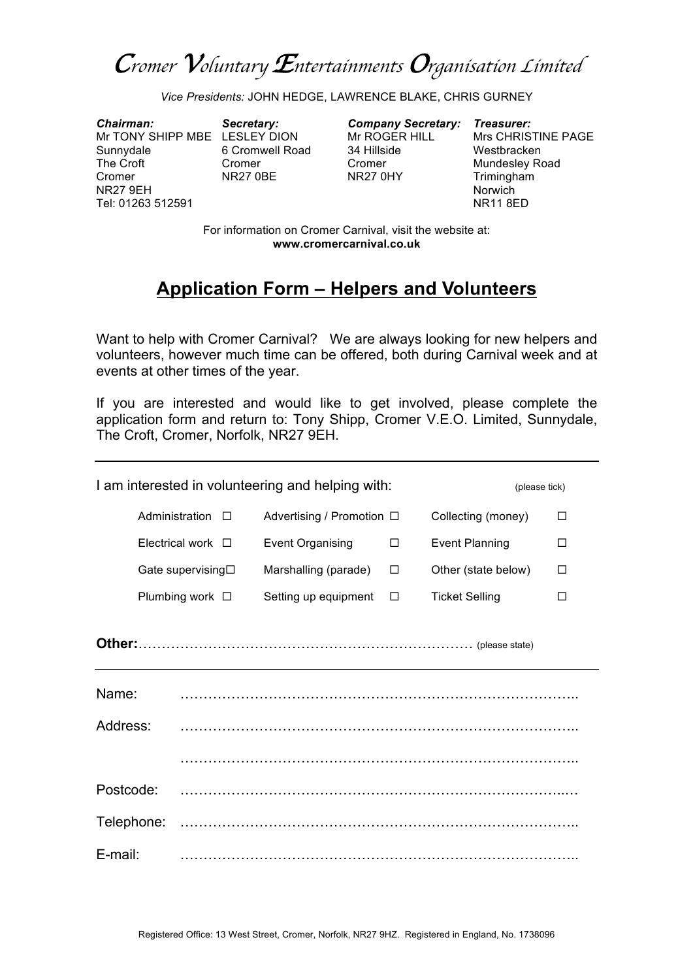*Cromer Voluntary Entertainments Organisation Limited*

*Vice Presidents:* JOHN HEDGE, LAWRENCE BLAKE, CHRIS GURNEY

*Chairman: Secretary: Company Secretary: Treasurer:* Mr TONY SHIPP MBE LESLEY DION Sunnydale 6 Cromwell Road 34 Hillside Westbracken<br>The Croft Cromer Cromer Cromer Mundesley Ro Cromer NR27 0BE NR27 0HY Trimingham NR27 9EH Norwich Tel: 01263 512591 NR11 8ED

Cromer Cromer Cromer Mundesley Road

For information on Cromer Carnival, visit the website at: **www.cromercarnival.co.uk**

## **Application Form – Helpers and Volunteers**

Want to help with Cromer Carnival? We are always looking for new helpers and volunteers, however much time can be offered, both during Carnival week and at events at other times of the year.

If you are interested and would like to get involved, please complete the application form and return to: Tony Shipp, Cromer V.E.O. Limited, Sunnydale, The Croft, Cromer, Norfolk, NR27 9EH.

| I am interested in volunteering and helping with:<br>(please tick) |                         |                           |        |                       |   |  |
|--------------------------------------------------------------------|-------------------------|---------------------------|--------|-----------------------|---|--|
|                                                                    | Administration $\Box$   | Advertising / Promotion □ |        | Collecting (money)    | □ |  |
|                                                                    | Electrical work $\Box$  | <b>Event Organising</b>   | $\Box$ | <b>Event Planning</b> | □ |  |
|                                                                    | Gate supervising□       | Marshalling (parade)      | □      | Other (state below)   | □ |  |
|                                                                    | Plumbing work $\square$ | Setting up equipment      | □      | <b>Ticket Selling</b> | П |  |
|                                                                    |                         |                           |        |                       |   |  |
| Name:                                                              |                         |                           |        |                       |   |  |
| Address:                                                           |                         |                           |        |                       |   |  |
|                                                                    |                         |                           |        |                       |   |  |
| Postcode:                                                          |                         |                           |        |                       |   |  |
| Telephone:                                                         |                         |                           |        |                       |   |  |
| E-mail:                                                            |                         |                           |        |                       |   |  |